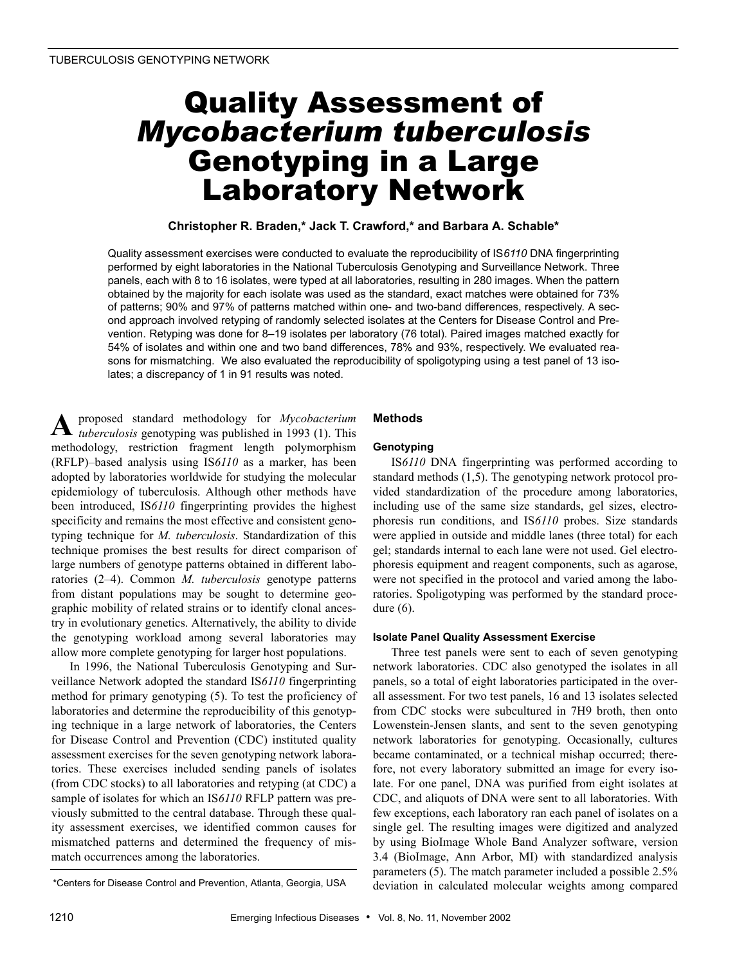# Quality Assessment of *Mycobacterium tuberculosis* Genotyping in a Large Laboratory Network

## **Christopher R. Braden,\* Jack T. Crawford,\* and Barbara A. Schable\***

Quality assessment exercises were conducted to evaluate the reproducibility of IS*6110* DNA fingerprinting performed by eight laboratories in the National Tuberculosis Genotyping and Surveillance Network. Three panels, each with 8 to 16 isolates, were typed at all laboratories, resulting in 280 images. When the pattern obtained by the majority for each isolate was used as the standard, exact matches were obtained for 73% of patterns; 90% and 97% of patterns matched within one- and two-band differences, respectively. A second approach involved retyping of randomly selected isolates at the Centers for Disease Control and Prevention. Retyping was done for 8–19 isolates per laboratory (76 total). Paired images matched exactly for 54% of isolates and within one and two band differences, 78% and 93%, respectively. We evaluated reasons for mismatching. We also evaluated the reproducibility of spoligotyping using a test panel of 13 isolates; a discrepancy of 1 in 91 results was noted.

proposed standard methodology for *Mycobacterium tuberculosis* genotyping was published in 1993 (1). This methodology, restriction fragment length polymorphism (RFLP)–based analysis using IS*6110* as a marker, has been adopted by laboratories worldwide for studying the molecular epidemiology of tuberculosis. Although other methods have been introduced, IS*6110* fingerprinting provides the highest specificity and remains the most effective and consistent genotyping technique for *M. tuberculosis*. Standardization of this technique promises the best results for direct comparison of large numbers of genotype patterns obtained in different laboratories (2–4). Common *M. tuberculosis* genotype patterns from distant populations may be sought to determine geographic mobility of related strains or to identify clonal ancestry in evolutionary genetics. Alternatively, the ability to divide the genotyping workload among several laboratories may allow more complete genotyping for larger host populations. **A**

In 1996, the National Tuberculosis Genotyping and Surveillance Network adopted the standard IS*6110* fingerprinting method for primary genotyping (5). To test the proficiency of laboratories and determine the reproducibility of this genotyping technique in a large network of laboratories, the Centers for Disease Control and Prevention (CDC) instituted quality assessment exercises for the seven genotyping network laboratories. These exercises included sending panels of isolates (from CDC stocks) to all laboratories and retyping (at CDC) a sample of isolates for which an IS*6110* RFLP pattern was previously submitted to the central database. Through these quality assessment exercises, we identified common causes for mismatched patterns and determined the frequency of mismatch occurrences among the laboratories.

## **Methods**

#### **Genotyping**

IS*6110* DNA fingerprinting was performed according to standard methods (1,5). The genotyping network protocol provided standardization of the procedure among laboratories, including use of the same size standards, gel sizes, electrophoresis run conditions, and IS*6110* probes. Size standards were applied in outside and middle lanes (three total) for each gel; standards internal to each lane were not used. Gel electrophoresis equipment and reagent components, such as agarose, were not specified in the protocol and varied among the laboratories. Spoligotyping was performed by the standard procedure (6).

#### **Isolate Panel Quality Assessment Exercise**

Three test panels were sent to each of seven genotyping network laboratories. CDC also genotyped the isolates in all panels, so a total of eight laboratories participated in the overall assessment. For two test panels, 16 and 13 isolates selected from CDC stocks were subcultured in 7H9 broth, then onto Lowenstein-Jensen slants, and sent to the seven genotyping network laboratories for genotyping. Occasionally, cultures became contaminated, or a technical mishap occurred; therefore, not every laboratory submitted an image for every isolate. For one panel, DNA was purified from eight isolates at CDC, and aliquots of DNA were sent to all laboratories. With few exceptions, each laboratory ran each panel of isolates on a single gel. The resulting images were digitized and analyzed by using BioImage Whole Band Analyzer software, version 3.4 (BioImage, Ann Arbor, MI) with standardized analysis parameters (5). The match parameter included a possible 2.5% \*Centers for Disease Control and Prevention, Atlanta, Georgia, USA deviation in calculated molecular weights among compared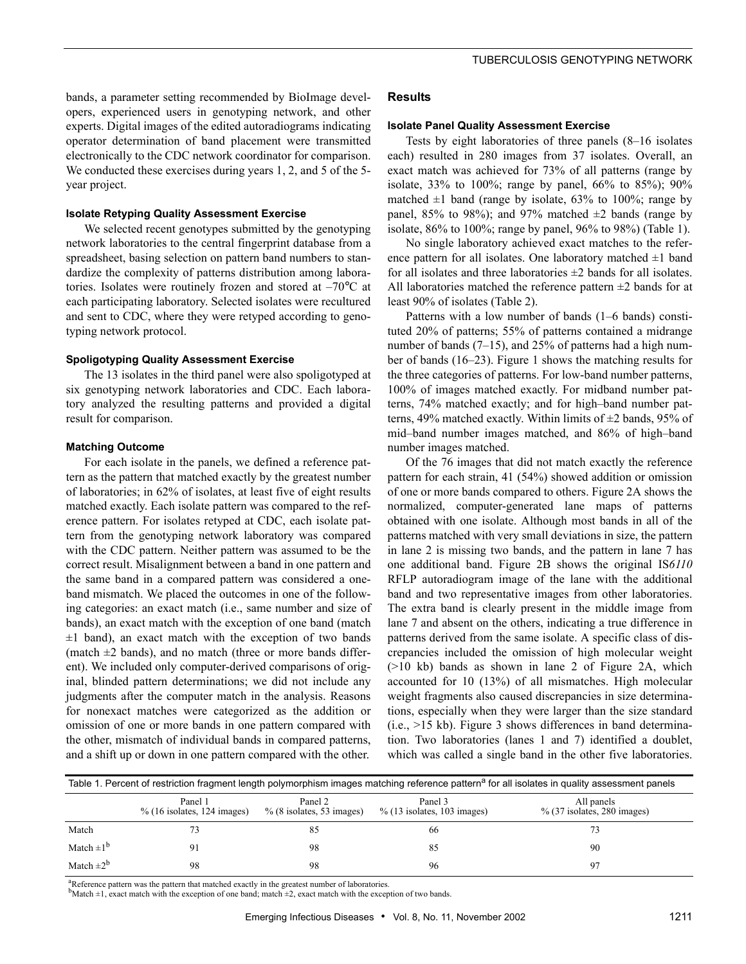bands, a parameter setting recommended by BioImage developers, experienced users in genotyping network, and other experts. Digital images of the edited autoradiograms indicating operator determination of band placement were transmitted electronically to the CDC network coordinator for comparison. We conducted these exercises during years 1, 2, and 5 of the 5year project.

#### **Isolate Retyping Quality Assessment Exercise**

We selected recent genotypes submitted by the genotyping network laboratories to the central fingerprint database from a spreadsheet, basing selection on pattern band numbers to standardize the complexity of patterns distribution among laboratories. Isolates were routinely frozen and stored at –70°C at each participating laboratory. Selected isolates were recultured and sent to CDC, where they were retyped according to genotyping network protocol.

#### **Spoligotyping Quality Assessment Exercise**

The 13 isolates in the third panel were also spoligotyped at six genotyping network laboratories and CDC. Each laboratory analyzed the resulting patterns and provided a digital result for comparison.

#### **Matching Outcome**

For each isolate in the panels, we defined a reference pattern as the pattern that matched exactly by the greatest number of laboratories; in 62% of isolates, at least five of eight results matched exactly. Each isolate pattern was compared to the reference pattern. For isolates retyped at CDC, each isolate pattern from the genotyping network laboratory was compared with the CDC pattern. Neither pattern was assumed to be the correct result. Misalignment between a band in one pattern and the same band in a compared pattern was considered a oneband mismatch. We placed the outcomes in one of the following categories: an exact match (i.e., same number and size of bands), an exact match with the exception of one band (match  $\pm 1$  band), an exact match with the exception of two bands (match  $\pm 2$  bands), and no match (three or more bands different). We included only computer-derived comparisons of original, blinded pattern determinations; we did not include any judgments after the computer match in the analysis. Reasons for nonexact matches were categorized as the addition or omission of one or more bands in one pattern compared with the other, mismatch of individual bands in compared patterns, and a shift up or down in one pattern compared with the other.

#### **Results**

#### **Isolate Panel Quality Assessment Exercise**

Tests by eight laboratories of three panels (8–16 isolates each) resulted in 280 images from 37 isolates. Overall, an exact match was achieved for 73% of all patterns (range by isolate, 33% to 100%; range by panel, 66% to 85%); 90% matched  $\pm 1$  band (range by isolate, 63% to 100%; range by panel, 85% to 98%); and 97% matched  $\pm 2$  bands (range by isolate, 86% to 100%; range by panel, 96% to 98%) (Table 1).

No single laboratory achieved exact matches to the reference pattern for all isolates. One laboratory matched  $\pm 1$  band for all isolates and three laboratories  $\pm 2$  bands for all isolates. All laboratories matched the reference pattern  $\pm 2$  bands for at least 90% of isolates (Table 2).

Patterns with a low number of bands (1–6 bands) constituted 20% of patterns; 55% of patterns contained a midrange number of bands (7–15), and 25% of patterns had a high number of bands (16–23). Figure 1 shows the matching results for the three categories of patterns. For low-band number patterns, 100% of images matched exactly. For midband number patterns, 74% matched exactly; and for high–band number patterns, 49% matched exactly. Within limits of  $\pm 2$  bands, 95% of mid–band number images matched, and 86% of high–band number images matched.

Of the 76 images that did not match exactly the reference pattern for each strain, 41 (54%) showed addition or omission of one or more bands compared to others. Figure 2A shows the normalized, computer-generated lane maps of patterns obtained with one isolate. Although most bands in all of the patterns matched with very small deviations in size, the pattern in lane 2 is missing two bands, and the pattern in lane 7 has one additional band. Figure 2B shows the original IS*6110* RFLP autoradiogram image of the lane with the additional band and two representative images from other laboratories. The extra band is clearly present in the middle image from lane 7 and absent on the others, indicating a true difference in patterns derived from the same isolate. A specific class of discrepancies included the omission of high molecular weight (>10 kb) bands as shown in lane 2 of Figure 2A, which accounted for 10 (13%) of all mismatches. High molecular weight fragments also caused discrepancies in size determinations, especially when they were larger than the size standard  $(i.e., >15 kb)$ . Figure 3 shows differences in band determination. Two laboratories (lanes 1 and 7) identified a doublet, which was called a single band in the other five laboratories.

| Table 1. Percent of restriction fragment length polymorphism images matching reference pattern <sup>a</sup> for all isolates in quality assessment panels |                                           |                                         |                                           |                                              |  |  |  |
|-----------------------------------------------------------------------------------------------------------------------------------------------------------|-------------------------------------------|-----------------------------------------|-------------------------------------------|----------------------------------------------|--|--|--|
|                                                                                                                                                           | Panel 1<br>$\%$ (16 isolates, 124 images) | Panel 2<br>$\%$ (8 isolates, 53 images) | Panel 3<br>$\%$ (13 isolates, 103 images) | All panels<br>$\%$ (37 isolates, 280 images) |  |  |  |
| Match                                                                                                                                                     |                                           | 85                                      | 66                                        |                                              |  |  |  |
| Match $\pm 1^b$                                                                                                                                           |                                           | 98                                      | 85                                        | 90                                           |  |  |  |
| Match $\pm 2^b$                                                                                                                                           | 98                                        | 98                                      | 96                                        | 97                                           |  |  |  |

<sup>a</sup>Reference pattern was the pattern that matched exactly in the greatest number of laboratories.

 $b$ Match  $\pm 1$ , exact match with the exception of one band; match  $\pm 2$ , exact match with the exception of two bands.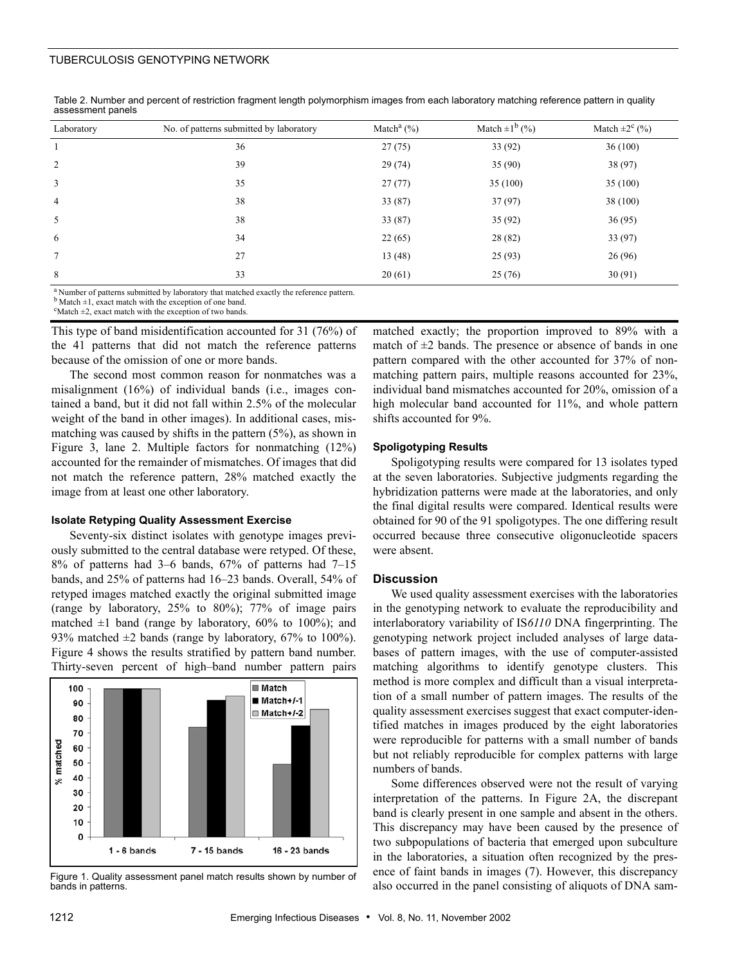#### TUBERCULOSIS GENOTYPING NETWORK

| Laboratory     | No. of patterns submitted by laboratory | Match <sup>a</sup> $(\% )$ | Match $\pm 1^{b}$ (%) | Match $\pm 2^c$ (%) |  |
|----------------|-----------------------------------------|----------------------------|-----------------------|---------------------|--|
|                | 36                                      | 27(75)                     | 33 (92)               | 36(100)             |  |
| 2              | 39                                      | 29(74)                     | 35 (90)               | 38 (97)             |  |
| 3              | 35                                      | 27(77)                     | 35(100)               | 35(100)             |  |
| $\overline{4}$ | 38                                      | 33(87)                     | 37(97)                | 38 (100)            |  |
| 5              | 38                                      | 33(87)                     | 35(92)                | 36(95)              |  |
| 6              | 34                                      | 22(65)                     | 28 (82)               | 33 (97)             |  |
| $\tau$         | 27                                      | 13(48)                     | 25(93)                | 26(96)              |  |
| 8              | 33                                      | 20(61)                     | 25(76)                | 30(91)              |  |
|                |                                         |                            |                       |                     |  |

Table 2. Number and percent of restriction fragment length polymorphism images from each laboratory matching reference pattern in quality assessment panels

a Number of patterns submitted by laboratory that matched exactly the reference pattern. b Match  $\pm 1$ , exact match with the exception of one band.

 $\text{c}^{\text{c}}$ Match  $\pm 2$ , exact match with the exception of two bands.

This type of band misidentification accounted for 31 (76%) of the 41 patterns that did not match the reference patterns because of the omission of one or more bands.

The second most common reason for nonmatches was a misalignment (16%) of individual bands (i.e., images contained a band, but it did not fall within 2.5% of the molecular weight of the band in other images). In additional cases, mismatching was caused by shifts in the pattern (5%), as shown in Figure 3, lane 2. Multiple factors for nonmatching (12%) accounted for the remainder of mismatches. Of images that did not match the reference pattern, 28% matched exactly the image from at least one other laboratory.

#### **Isolate Retyping Quality Assessment Exercise**

Seventy-six distinct isolates with genotype images previously submitted to the central database were retyped. Of these, 8% of patterns had 3–6 bands, 67% of patterns had 7–15 bands, and 25% of patterns had 16–23 bands. Overall, 54% of retyped images matched exactly the original submitted image (range by laboratory, 25% to 80%); 77% of image pairs matched  $\pm 1$  band (range by laboratory, 60% to 100%); and 93% matched  $\pm 2$  bands (range by laboratory, 67% to 100%). Figure 4 shows the results stratified by pattern band number. Thirty-seven percent of high–band number pattern pairs



Figure 1. Quality assessment panel match results shown by number of bands in patterns.

matched exactly; the proportion improved to 89% with a match of  $\pm 2$  bands. The presence or absence of bands in one pattern compared with the other accounted for 37% of nonmatching pattern pairs, multiple reasons accounted for 23%, individual band mismatches accounted for 20%, omission of a high molecular band accounted for 11%, and whole pattern shifts accounted for 9%.

#### **Spoligotyping Results**

Spoligotyping results were compared for 13 isolates typed at the seven laboratories. Subjective judgments regarding the hybridization patterns were made at the laboratories, and only the final digital results were compared. Identical results were obtained for 90 of the 91 spoligotypes. The one differing result occurred because three consecutive oligonucleotide spacers were absent.

#### **Discussion**

We used quality assessment exercises with the laboratories in the genotyping network to evaluate the reproducibility and interlaboratory variability of IS*6110* DNA fingerprinting. The genotyping network project included analyses of large databases of pattern images, with the use of computer-assisted matching algorithms to identify genotype clusters. This method is more complex and difficult than a visual interpretation of a small number of pattern images. The results of the quality assessment exercises suggest that exact computer-identified matches in images produced by the eight laboratories were reproducible for patterns with a small number of bands but not reliably reproducible for complex patterns with large numbers of bands.

Some differences observed were not the result of varying interpretation of the patterns. In Figure 2A, the discrepant band is clearly present in one sample and absent in the others. This discrepancy may have been caused by the presence of two subpopulations of bacteria that emerged upon subculture in the laboratories, a situation often recognized by the presence of faint bands in images (7). However, this discrepancy also occurred in the panel consisting of aliquots of DNA sam-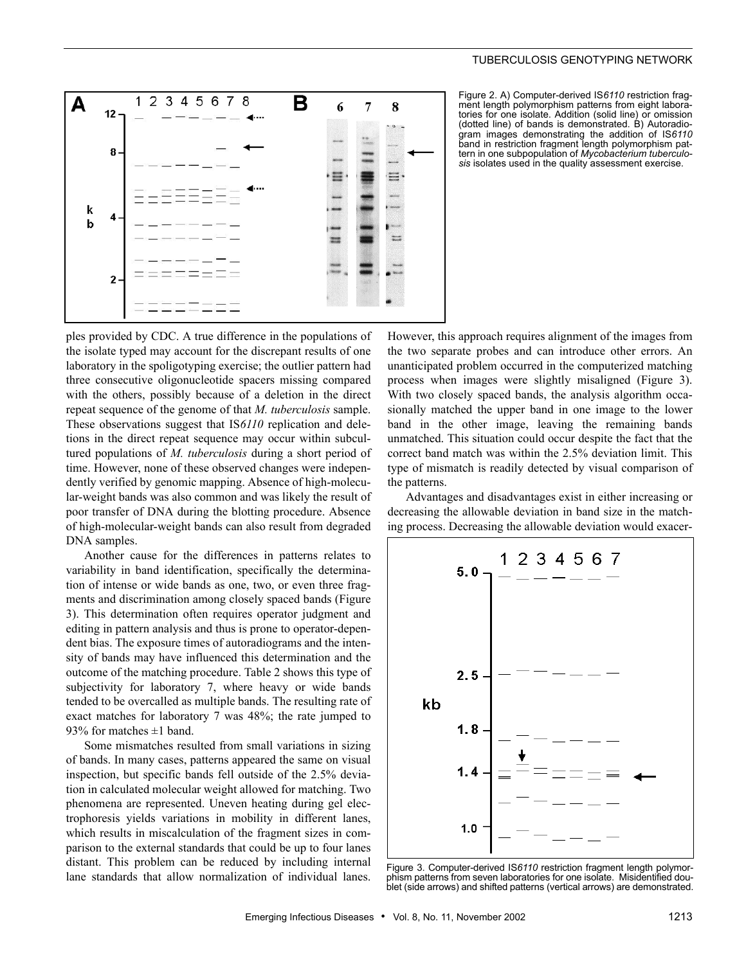



Figure 2. A) Computer-derived IS*6110* restriction fragment length polymorphism patterns from eight laboratories for one isolate. Addition (solid line) or omission (dotted line) of bands is demonstrated. B) Autoradiogram images demonstrating the addition of IS*6110* band in restriction fragment length polymorphism pattern in one subpopulation of *Mycobacterium tuberculosis* isolates used in the quality assessment exercise.

ples provided by CDC. A true difference in the populations of the isolate typed may account for the discrepant results of one laboratory in the spoligotyping exercise; the outlier pattern had three consecutive oligonucleotide spacers missing compared with the others, possibly because of a deletion in the direct repeat sequence of the genome of that *M. tuberculosis* sample. These observations suggest that IS*6110* replication and deletions in the direct repeat sequence may occur within subcultured populations of *M. tuberculosis* during a short period of time. However, none of these observed changes were independently verified by genomic mapping. Absence of high-molecular-weight bands was also common and was likely the result of poor transfer of DNA during the blotting procedure. Absence of high-molecular-weight bands can also result from degraded DNA samples.

Another cause for the differences in patterns relates to variability in band identification, specifically the determination of intense or wide bands as one, two, or even three fragments and discrimination among closely spaced bands (Figure 3). This determination often requires operator judgment and editing in pattern analysis and thus is prone to operator-dependent bias. The exposure times of autoradiograms and the intensity of bands may have influenced this determination and the outcome of the matching procedure. Table 2 shows this type of subjectivity for laboratory 7, where heavy or wide bands tended to be overcalled as multiple bands. The resulting rate of exact matches for laboratory 7 was 48%; the rate jumped to 93% for matches  $\pm 1$  band.

Some mismatches resulted from small variations in sizing of bands. In many cases, patterns appeared the same on visual inspection, but specific bands fell outside of the 2.5% deviation in calculated molecular weight allowed for matching. Two phenomena are represented. Uneven heating during gel electrophoresis yields variations in mobility in different lanes, which results in miscalculation of the fragment sizes in comparison to the external standards that could be up to four lanes distant. This problem can be reduced by including internal lane standards that allow normalization of individual lanes.

However, this approach requires alignment of the images from the two separate probes and can introduce other errors. An unanticipated problem occurred in the computerized matching process when images were slightly misaligned (Figure 3). With two closely spaced bands, the analysis algorithm occasionally matched the upper band in one image to the lower band in the other image, leaving the remaining bands unmatched. This situation could occur despite the fact that the correct band match was within the 2.5% deviation limit. This type of mismatch is readily detected by visual comparison of the patterns.

Advantages and disadvantages exist in either increasing or decreasing the allowable deviation in band size in the matching process. Decreasing the allowable deviation would exacer-



Figure 3. Computer-derived IS*6110* restriction fragment length polymorphism patterns from seven laboratories for one isolate. Misidentified doublet (side arrows) and shifted patterns (vertical arrows) are demonstrated.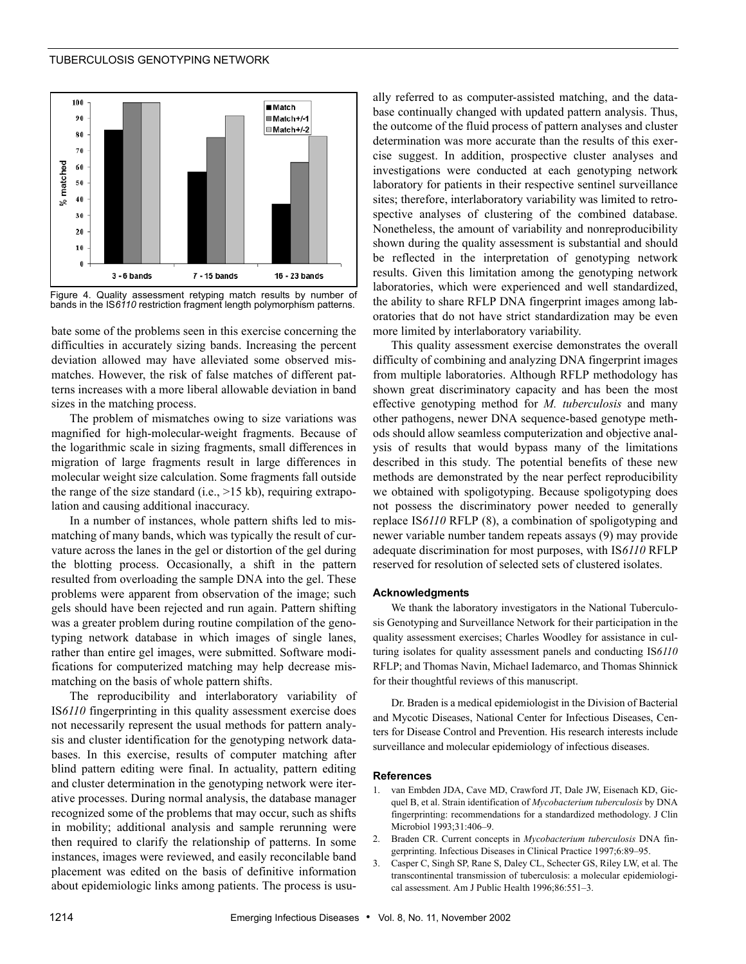#### TUBERCULOSIS GENOTYPING NETWORK





bate some of the problems seen in this exercise concerning the difficulties in accurately sizing bands. Increasing the percent deviation allowed may have alleviated some observed mismatches. However, the risk of false matches of different patterns increases with a more liberal allowable deviation in band sizes in the matching process.

The problem of mismatches owing to size variations was magnified for high-molecular-weight fragments. Because of the logarithmic scale in sizing fragments, small differences in migration of large fragments result in large differences in molecular weight size calculation. Some fragments fall outside the range of the size standard (i.e., >15 kb), requiring extrapolation and causing additional inaccuracy.

In a number of instances, whole pattern shifts led to mismatching of many bands, which was typically the result of curvature across the lanes in the gel or distortion of the gel during the blotting process. Occasionally, a shift in the pattern resulted from overloading the sample DNA into the gel. These problems were apparent from observation of the image; such gels should have been rejected and run again. Pattern shifting was a greater problem during routine compilation of the genotyping network database in which images of single lanes, rather than entire gel images, were submitted. Software modifications for computerized matching may help decrease mismatching on the basis of whole pattern shifts.

The reproducibility and interlaboratory variability of IS*6110* fingerprinting in this quality assessment exercise does not necessarily represent the usual methods for pattern analysis and cluster identification for the genotyping network databases. In this exercise, results of computer matching after blind pattern editing were final. In actuality, pattern editing and cluster determination in the genotyping network were iterative processes. During normal analysis, the database manager recognized some of the problems that may occur, such as shifts in mobility; additional analysis and sample rerunning were then required to clarify the relationship of patterns. In some instances, images were reviewed, and easily reconcilable band placement was edited on the basis of definitive information about epidemiologic links among patients. The process is usually referred to as computer-assisted matching, and the database continually changed with updated pattern analysis. Thus, the outcome of the fluid process of pattern analyses and cluster determination was more accurate than the results of this exercise suggest. In addition, prospective cluster analyses and investigations were conducted at each genotyping network laboratory for patients in their respective sentinel surveillance sites; therefore, interlaboratory variability was limited to retrospective analyses of clustering of the combined database. Nonetheless, the amount of variability and nonreproducibility shown during the quality assessment is substantial and should be reflected in the interpretation of genotyping network results. Given this limitation among the genotyping network laboratories, which were experienced and well standardized, the ability to share RFLP DNA fingerprint images among laboratories that do not have strict standardization may be even more limited by interlaboratory variability.

This quality assessment exercise demonstrates the overall difficulty of combining and analyzing DNA fingerprint images from multiple laboratories. Although RFLP methodology has shown great discriminatory capacity and has been the most effective genotyping method for *M. tuberculosis* and many other pathogens, newer DNA sequence-based genotype methods should allow seamless computerization and objective analysis of results that would bypass many of the limitations described in this study. The potential benefits of these new methods are demonstrated by the near perfect reproducibility we obtained with spoligotyping. Because spoligotyping does not possess the discriminatory power needed to generally replace IS*6110* RFLP (8), a combination of spoligotyping and newer variable number tandem repeats assays (9) may provide adequate discrimination for most purposes, with IS*6110* RFLP reserved for resolution of selected sets of clustered isolates.

#### **Acknowledgments**

We thank the laboratory investigators in the National Tuberculosis Genotyping and Surveillance Network for their participation in the quality assessment exercises; Charles Woodley for assistance in culturing isolates for quality assessment panels and conducting IS*6110* RFLP; and Thomas Navin, Michael Iademarco, and Thomas Shinnick for their thoughtful reviews of this manuscript.

Dr. Braden is a medical epidemiologist in the Division of Bacterial and Mycotic Diseases, National Center for Infectious Diseases, Centers for Disease Control and Prevention. His research interests include surveillance and molecular epidemiology of infectious diseases.

#### **References**

- 1. van Embden JDA, Cave MD, Crawford JT, Dale JW, Eisenach KD, Gicquel B, et al. Strain identification of *Mycobacterium tuberculosis* by DNA fingerprinting: recommendations for a standardized methodology. J Clin Microbiol 1993;31:406–9.
- 2. Braden CR. Current concepts in *Mycobacterium tuberculosis* DNA fingerprinting. Infectious Diseases in Clinical Practice 1997;6:89–95.
- 3. Casper C, Singh SP, Rane S, Daley CL, Schecter GS, Riley LW, et al. The transcontinental transmission of tuberculosis: a molecular epidemiological assessment. Am J Public Health 1996;86:551–3.